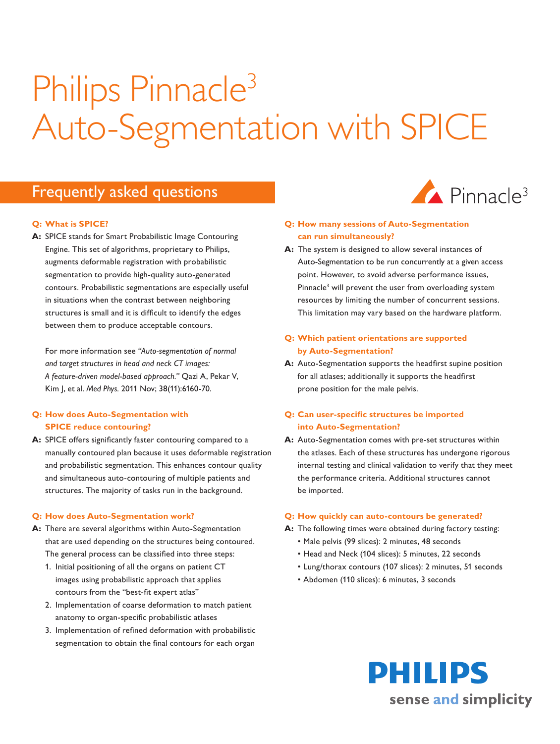# Philips Pinnacle<sup>3</sup> Auto-Segmentation with SPICE

# Frequently asked questions

#### **Q: What is SPICE?**

**A:** SPICE stands for Smart Probabilistic Image Contouring Engine. This set of algorithms, proprietary to Philips, augments deformable registration with probabilistic segmentation to provide high-quality auto-generated contours. Probabilistic segmentations are especially useful in situations when the contrast between neighboring structures is small and it is difficult to identify the edges between them to produce acceptable contours.

For more information see *"Auto-segmentation of normal and target structures in head and neck CT images: A feature-driven model-based approach."* Qazi A, Pekar V, Kim J, et al. *Med Phys.* 2011 Nov; 38(11):6160-70.

# **Q: How does Auto-Segmentation with SPICE reduce contouring?**

**A:** SPICE offers significantly faster contouring compared to a manually contoured plan because it uses deformable registration and probabilistic segmentation. This enhances contour quality and simultaneous auto-contouring of multiple patients and structures. The majority of tasks run in the background.

#### **Q: How does Auto-Segmentation work?**

- **A:** There are several algorithms within Auto-Segmentation that are used depending on the structures being contoured. The general process can be classified into three steps:
	- 1. Initial positioning of all the organs on patient CT images using probabilistic approach that applies contours from the "best-fit expert atlas"
	- 2. Implementation of coarse deformation to match patient anatomy to organ-specific probabilistic atlases
	- 3. Implementation of refined deformation with probabilistic segmentation to obtain the final contours for each organ



# **Q: How many sessions of Auto-Segmentation can run simultaneously?**

**A:** The system is designed to allow several instances of Auto-Segmentation to be run concurrently at a given access point. However, to avoid adverse performance issues, Pinnacle<sup>3</sup> will prevent the user from overloading system resources by limiting the number of concurrent sessions. This limitation may vary based on the hardware platform.

# **Q: Which patient orientations are supported by Auto-Segmentation?**

**A:** Auto-Segmentation supports the headfirst supine position for all atlases; additionally it supports the headfirst prone position for the male pelvis.

# **Q: Can user-specific structures be imported into Auto-Segmentation?**

**A:** Auto-Segmentation comes with pre-set structures within the atlases. Each of these structures has undergone rigorous internal testing and clinical validation to verify that they meet the performance criteria. Additional structures cannot be imported.

#### **Q: How quickly can auto-contours be generated?**

- **A:** The following times were obtained during factory testing:
	- Male pelvis (99 slices): 2 minutes, 48 seconds
	- Head and Neck (104 slices): 5 minutes, 22 seconds
	- Lung/thorax contours (107 slices): 2 minutes, 51 seconds
	- Abdomen (110 slices): 6 minutes, 3 seconds